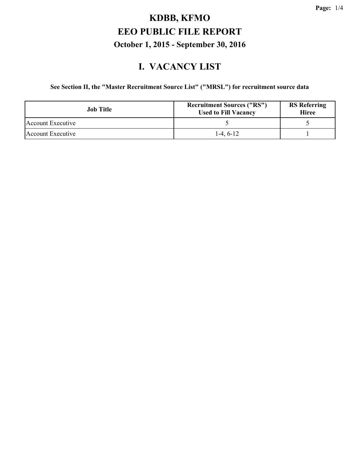#### **I. VACANCY LIST**

#### **See Section II, the "Master Recruitment Source List" ("MRSL") for recruitment source data**

| <b>Job</b> Title  | <b>Recruitment Sources ("RS")</b><br><b>Used to Fill Vacancy</b> | <b>RS</b> Referring<br><b>Hiree</b> |  |
|-------------------|------------------------------------------------------------------|-------------------------------------|--|
| Account Executive |                                                                  |                                     |  |
| Account Executive | $1-4, 6-12$                                                      |                                     |  |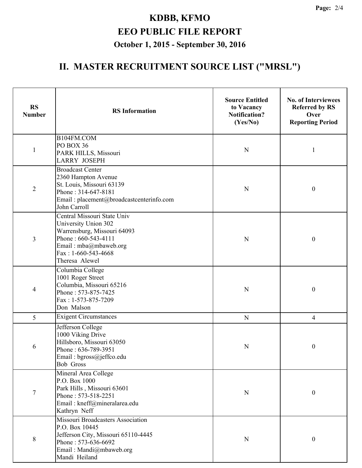#### **II. MASTER RECRUITMENT SOURCE LIST ("MRSL")**

| <b>RS</b><br><b>Number</b> | <b>RS</b> Information                                                                                                                                                         | <b>Source Entitled</b><br>to Vacancy<br><b>Notification?</b><br>(Yes/No) | <b>No. of Interviewees</b><br><b>Referred by RS</b><br>Over<br><b>Reporting Period</b> |  |
|----------------------------|-------------------------------------------------------------------------------------------------------------------------------------------------------------------------------|--------------------------------------------------------------------------|----------------------------------------------------------------------------------------|--|
| $\mathbf{1}$               | B104FM.COM<br>PO BOX 36<br>PARK HILLS, Missouri<br><b>LARRY JOSEPH</b>                                                                                                        | N                                                                        | 1                                                                                      |  |
| $\overline{2}$             | <b>Broadcast Center</b><br>2360 Hampton Avenue<br>St. Louis, Missouri 63139<br>Phone: 314-647-8181<br>Email: placement@broadcastcenterinfo.com<br>John Carroll                | N                                                                        | $\boldsymbol{0}$                                                                       |  |
| 3                          | Central Missouri State Univ<br>University Union 302<br>Warrensburg, Missouri 64093<br>Phone: 660-543-4111<br>Email: mba@mbaweb.org<br>Fax: $1-660-543-4668$<br>Theresa Alewel | $\mathbf N$                                                              | $\boldsymbol{0}$                                                                       |  |
| 4                          | Columbia College<br>1001 Roger Street<br>Columbia, Missouri 65216<br>Phone: 573-875-7425<br>Fax: 1-573-875-7209<br>Don Malson                                                 | ${\bf N}$                                                                | $\boldsymbol{0}$                                                                       |  |
| 5                          | <b>Exigent Circumstances</b>                                                                                                                                                  | ${\bf N}$                                                                | $\overline{4}$                                                                         |  |
| 6                          | Jefferson College<br>1000 Viking Drive<br>Hillsboro, Missouri 63050<br>Phone: 636-789-3951<br>Email: bgross@jeffco.edu<br><b>Bob Gross</b>                                    | ${\bf N}$                                                                | $\boldsymbol{0}$                                                                       |  |
| $\overline{7}$             | Mineral Area College<br>P.O. Box 1000<br>Park Hills, Missouri 63601<br>Phone: 573-518-2251<br>Email: kneff@mineralarea.edu<br>Kathryn Neff                                    | ${\bf N}$                                                                | $\boldsymbol{0}$                                                                       |  |
| 8                          | Missouri Broadcasters Association<br>P.O. Box 10445<br>Jefferson City, Missouri 65110-4445<br>Phone: 573-636-6692<br>Email: Mandi@mbaweb.org<br>Mandi Heiland                 | N                                                                        | $\boldsymbol{0}$                                                                       |  |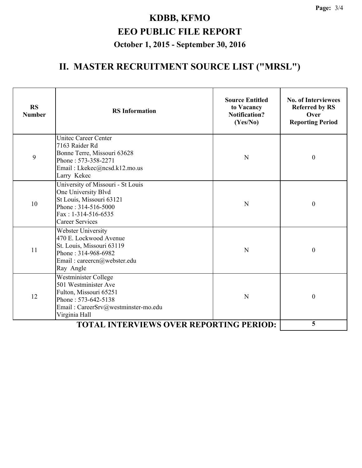#### **II. MASTER RECRUITMENT SOURCE LIST ("MRSL")**

| <b>RS</b><br><b>Number</b>                     | <b>RS</b> Information                                                                                                                                          | <b>Source Entitled</b><br>to Vacancy<br><b>Notification?</b><br>(Yes/No) | <b>No. of Interviewees</b><br><b>Referred by RS</b><br>Over<br><b>Reporting Period</b> |
|------------------------------------------------|----------------------------------------------------------------------------------------------------------------------------------------------------------------|--------------------------------------------------------------------------|----------------------------------------------------------------------------------------|
| 9                                              | <b>Unitec Career Center</b><br>7163 Raider Rd<br>Bonne Terre, Missouri 63628<br>Phone: 573-358-2271<br>Email: Lkekec@ncsd.k12.mo.us<br>Larry Kekec             | N                                                                        | $\boldsymbol{0}$                                                                       |
| 10                                             | University of Missouri - St Louis<br>One University Blvd<br>St Louis, Missouri 63121<br>Phone: 314-516-5000<br>$Fax: 1-314-516-6535$<br><b>Career Services</b> | N                                                                        | $\boldsymbol{0}$                                                                       |
| 11                                             | Webster University<br>470 E. Lockwood Avenue<br>St. Louis, Missouri 63119<br>Phone: 314-968-6982<br>Email: careercn@webster.edu<br>Ray Angle                   | N                                                                        | $\boldsymbol{0}$                                                                       |
| 12                                             | Westminister College<br>501 Westminister Ave<br>Fulton, Missouri 65251<br>Phone: 573-642-5138<br>Email: CareerSrv@westminster-mo.edu<br>Virginia Hall          | N                                                                        | $\mathbf{0}$                                                                           |
| <b>TOTAL INTERVIEWS OVER REPORTING PERIOD:</b> |                                                                                                                                                                |                                                                          | 5                                                                                      |